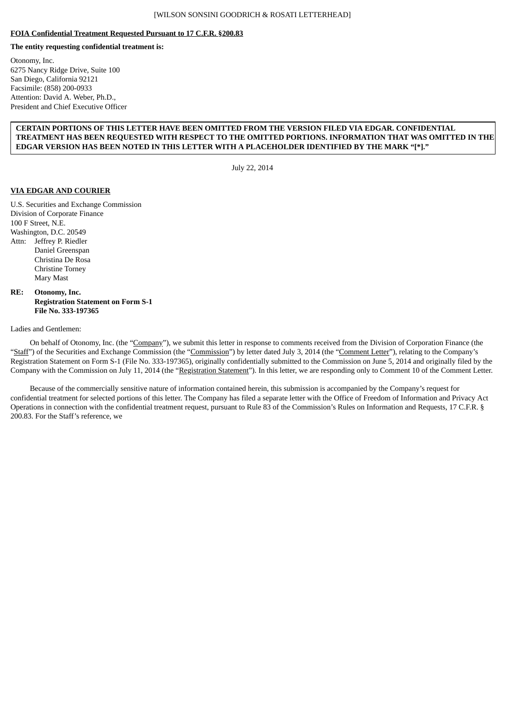## **FOIA Confidential Treatment Requested Pursuant to 17 C.F.R. §200.83**

# **The entity requesting confidential treatment is:**

Otonomy, Inc. 6275 Nancy Ridge Drive, Suite 100 San Diego, California 92121 Facsimile: (858) 200-0933 Attention: David A. Weber, Ph.D., President and Chief Executive Officer

## **CERTAIN PORTIONS OF THIS LETTER HAVE BEEN OMITTED FROM THE VERSION FILED VIA EDGAR. CONFIDENTIAL TREATMENT HAS BEEN REQUESTED WITH RESPECT TO THE OMITTED PORTIONS. INFORMATION THAT WAS OMITTED IN THE EDGAR VERSION HAS BEEN NOTED IN THIS LETTER WITH A PLACEHOLDER IDENTIFIED BY THE MARK "[\*]."**

July 22, 2014

## **VIA EDGAR AND COURIER**

U.S. Securities and Exchange Commission Division of Corporate Finance 100 F Street, N.E. Washington, D.C. 20549 Attn: Jeffrey P. Riedler Daniel Greenspan Christina De Rosa Christine Torney Mary Mast

## **RE: Otonomy, Inc. Registration Statement on Form S-1 File No. 333-197365**

### Ladies and Gentlemen:

On behalf of Otonomy, Inc. (the "Company"), we submit this letter in response to comments received from the Division of Corporation Finance (the "Staff") of the Securities and Exchange Commission (the "Commission") by letter dated July 3, 2014 (the "Comment Letter"), relating to the Company's Registration Statement on Form S-1 (File No. 333-197365), originally confidentially submitted to the Commission on June 5, 2014 and originally filed by the Company with the Commission on July 11, 2014 (the "Registration Statement"). In this letter, we are responding only to Comment 10 of the Comment Letter.

Because of the commercially sensitive nature of information contained herein, this submission is accompanied by the Company's request for confidential treatment for selected portions of this letter. The Company has filed a separate letter with the Office of Freedom of Information and Privacy Act Operations in connection with the confidential treatment request, pursuant to Rule 83 of the Commission's Rules on Information and Requests, 17 C.F.R. § 200.83. For the Staff's reference, we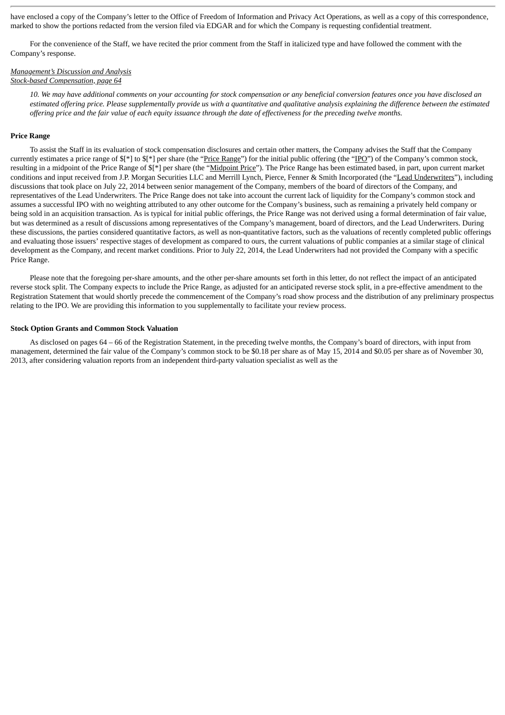have enclosed a copy of the Company's letter to the Office of Freedom of Information and Privacy Act Operations, as well as a copy of this correspondence, marked to show the portions redacted from the version filed via EDGAR and for which the Company is requesting confidential treatment.

For the convenience of the Staff, we have recited the prior comment from the Staff in italicized type and have followed the comment with the Company's response.

### *Management's Discussion and Analysis Stock-based Compensation, page 64*

10. We may have additional comments on your accounting for stock compensation or any beneficial conversion features once you have disclosed an estimated offering price. Please supplementally provide us with a quantitative and qualitative analysis explaining the difference between the estimated offering price and the fair value of each equity issuance through the date of effectiveness for the preceding twelve months.

#### **Price Range**

To assist the Staff in its evaluation of stock compensation disclosures and certain other matters, the Company advises the Staff that the Company currently estimates a price range of \$[\*] to \$[\*] per share (the "Price Range") for the initial public offering (the "IPO") of the Company's common stock, resulting in a midpoint of the Price Range of  $\frac{f}{f}$  per share (the "Midpoint Price"). The Price Range has been estimated based, in part, upon current market conditions and input received from J.P. Morgan Securities LLC and Merrill Lynch, Pierce, Fenner & Smith Incorporated (the "Lead Underwriters"), including discussions that took place on July 22, 2014 between senior management of the Company, members of the board of directors of the Company, and representatives of the Lead Underwriters. The Price Range does not take into account the current lack of liquidity for the Company's common stock and assumes a successful IPO with no weighting attributed to any other outcome for the Company's business, such as remaining a privately held company or being sold in an acquisition transaction. As is typical for initial public offerings, the Price Range was not derived using a formal determination of fair value, but was determined as a result of discussions among representatives of the Company's management, board of directors, and the Lead Underwriters. During these discussions, the parties considered quantitative factors, as well as non-quantitative factors, such as the valuations of recently completed public offerings and evaluating those issuers' respective stages of development as compared to ours, the current valuations of public companies at a similar stage of clinical development as the Company, and recent market conditions. Prior to July 22, 2014, the Lead Underwriters had not provided the Company with a specific Price Range.

Please note that the foregoing per-share amounts, and the other per-share amounts set forth in this letter, do not reflect the impact of an anticipated reverse stock split. The Company expects to include the Price Range, as adjusted for an anticipated reverse stock split, in a pre-effective amendment to the Registration Statement that would shortly precede the commencement of the Company's road show process and the distribution of any preliminary prospectus relating to the IPO. We are providing this information to you supplementally to facilitate your review process.

#### **Stock Option Grants and Common Stock Valuation**

As disclosed on pages 64 – 66 of the Registration Statement, in the preceding twelve months, the Company's board of directors, with input from management, determined the fair value of the Company's common stock to be \$0.18 per share as of May 15, 2014 and \$0.05 per share as of November 30, 2013, after considering valuation reports from an independent third-party valuation specialist as well as the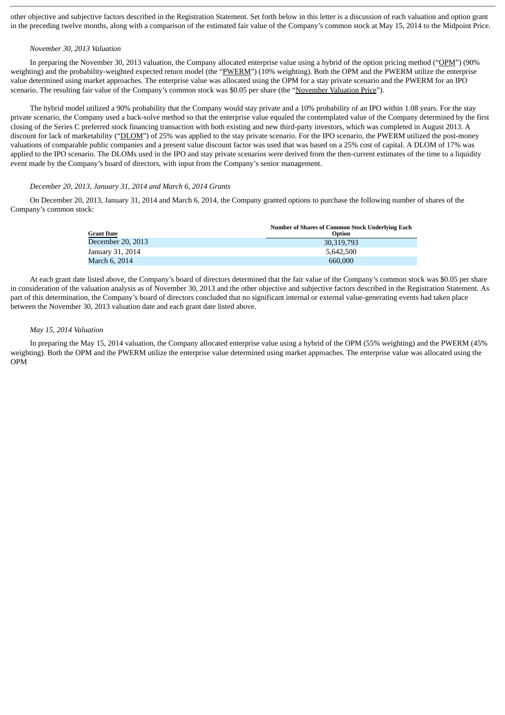other objective and subjective factors described in the Registration Statement. Set forth below in this letter is a discussion of each valuation and option grant in the preceding twelve months, along with a comparison of the estimated fair value of the Company's common stock at May 15, 2014 to the Midpoint Price.

### *November 30, 2013 Valuation*

In preparing the November 30, 2013 valuation, the Company allocated enterprise value using a hybrid of the option pricing method ("OPM") (90% weighting) and the probability-weighted expected return model (the "PWERM") (10% weighting). Both the OPM and the PWERM utilize the enterprise value determined using market approaches. The enterprise value was allocated using the OPM for a stay private scenario and the PWERM for an IPO scenario. The resulting fair value of the Company's common stock was \$0.05 per share (the "November Valuation Price").

The hybrid model utilized a 90% probability that the Company would stay private and a 10% probability of an IPO within 1.08 years. For the stay private scenario, the Company used a back-solve method so that the enterprise value equaled the contemplated value of the Company determined by the first closing of the Series C preferred stock financing transaction with both existing and new third-party investors, which was completed in August 2013. A discount for lack of marketability ("DLOM") of 25% was applied to the stay private scenario. For the IPO scenario, the PWERM utilized the post-money valuations of comparable public companies and a present value discount factor was used that was based on a 25% cost of capital. A DLOM of 17% was applied to the IPO scenario. The DLOMs used in the IPO and stay private scenarios were derived from the then-current estimates of the time to a liquidity event made by the Company's board of directors, with input from the Company's senior management.

#### *December 20, 2013, January 31, 2014 and March 6, 2014 Grants*

On December 20, 2013, January 31, 2014 and March 6, 2014, the Company granted options to purchase the following number of shares of the Company's common stock:

| <b>Grant Date</b> | <b>Number of Shares of Common Stock Underlying Each</b><br><b>Option</b> |
|-------------------|--------------------------------------------------------------------------|
| December 20, 2013 | 30,319,793                                                               |
| January 31, 2014  | 5.642.500                                                                |
| March 6, 2014     | 660,000                                                                  |

At each grant date listed above, the Company's board of directors determined that the fair value of the Company's common stock was \$0.05 per share in consideration of the valuation analysis as of November 30, 2013 and the other objective and subjective factors described in the Registration Statement. As part of this determination, the Company's board of directors concluded that no significant internal or external value-generating events had taken place between the November 30, 2013 valuation date and each grant date listed above.

#### *May 15, 2014 Valuation*

In preparing the May 15, 2014 valuation, the Company allocated enterprise value using a hybrid of the OPM (55% weighting) and the PWERM (45% weighting). Both the OPM and the PWERM utilize the enterprise value determined using market approaches. The enterprise value was allocated using the OPM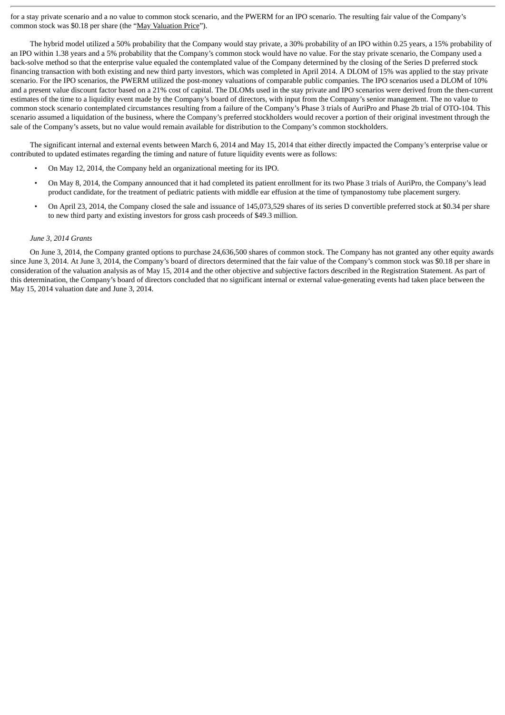for a stay private scenario and a no value to common stock scenario, and the PWERM for an IPO scenario. The resulting fair value of the Company's common stock was \$0.18 per share (the "May Valuation Price").

The hybrid model utilized a 50% probability that the Company would stay private, a 30% probability of an IPO within 0.25 years, a 15% probability of an IPO within 1.38 years and a 5% probability that the Company's common stock would have no value. For the stay private scenario, the Company used a back-solve method so that the enterprise value equaled the contemplated value of the Company determined by the closing of the Series D preferred stock financing transaction with both existing and new third party investors, which was completed in April 2014. A DLOM of 15% was applied to the stay private scenario. For the IPO scenarios, the PWERM utilized the post-money valuations of comparable public companies. The IPO scenarios used a DLOM of 10% and a present value discount factor based on a 21% cost of capital. The DLOMs used in the stay private and IPO scenarios were derived from the then-current estimates of the time to a liquidity event made by the Company's board of directors, with input from the Company's senior management. The no value to common stock scenario contemplated circumstances resulting from a failure of the Company's Phase 3 trials of AuriPro and Phase 2b trial of OTO-104. This scenario assumed a liquidation of the business, where the Company's preferred stockholders would recover a portion of their original investment through the sale of the Company's assets, but no value would remain available for distribution to the Company's common stockholders.

The significant internal and external events between March 6, 2014 and May 15, 2014 that either directly impacted the Company's enterprise value or contributed to updated estimates regarding the timing and nature of future liquidity events were as follows:

- On May 12, 2014, the Company held an organizational meeting for its IPO.
- On May 8, 2014, the Company announced that it had completed its patient enrollment for its two Phase 3 trials of AuriPro, the Company's lead product candidate, for the treatment of pediatric patients with middle ear effusion at the time of tympanostomy tube placement surgery.
- On April 23, 2014, the Company closed the sale and issuance of 145,073,529 shares of its series D convertible preferred stock at \$0.34 per share to new third party and existing investors for gross cash proceeds of \$49.3 million.

#### *June 3, 2014 Grants*

On June 3, 2014, the Company granted options to purchase 24,636,500 shares of common stock. The Company has not granted any other equity awards since June 3, 2014. At June 3, 2014, the Company's board of directors determined that the fair value of the Company's common stock was \$0.18 per share in consideration of the valuation analysis as of May 15, 2014 and the other objective and subjective factors described in the Registration Statement. As part of this determination, the Company's board of directors concluded that no significant internal or external value-generating events had taken place between the May 15, 2014 valuation date and June 3, 2014.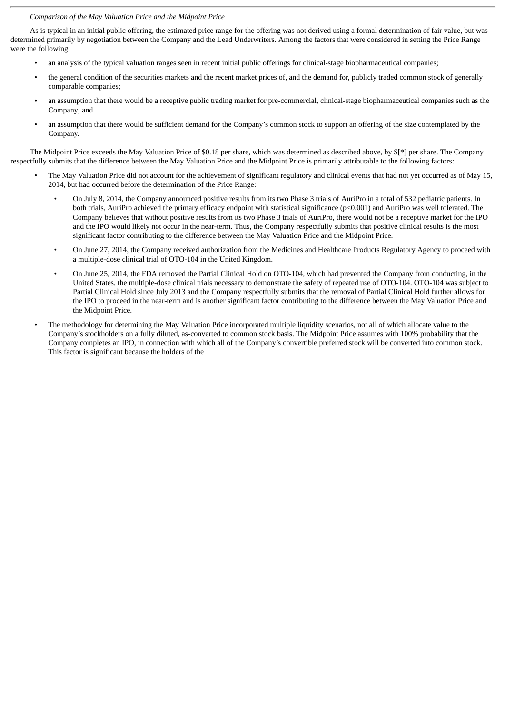### *Comparison of the May Valuation Price and the Midpoint Price*

As is typical in an initial public offering, the estimated price range for the offering was not derived using a formal determination of fair value, but was determined primarily by negotiation between the Company and the Lead Underwriters. Among the factors that were considered in setting the Price Range were the following:

- an analysis of the typical valuation ranges seen in recent initial public offerings for clinical-stage biopharmaceutical companies;
- the general condition of the securities markets and the recent market prices of, and the demand for, publicly traded common stock of generally comparable companies;
- an assumption that there would be a receptive public trading market for pre-commercial, clinical-stage biopharmaceutical companies such as the Company; and
- an assumption that there would be sufficient demand for the Company's common stock to support an offering of the size contemplated by the Company.

The Midpoint Price exceeds the May Valuation Price of \$0.18 per share, which was determined as described above, by \$[\*] per share. The Company respectfully submits that the difference between the May Valuation Price and the Midpoint Price is primarily attributable to the following factors:

- The May Valuation Price did not account for the achievement of significant regulatory and clinical events that had not yet occurred as of May 15, 2014, but had occurred before the determination of the Price Range:
	- On July 8, 2014, the Company announced positive results from its two Phase 3 trials of AuriPro in a total of 532 pediatric patients. In both trials, AuriPro achieved the primary efficacy endpoint with statistical significance (p<0.001) and AuriPro was well tolerated. The Company believes that without positive results from its two Phase 3 trials of AuriPro, there would not be a receptive market for the IPO and the IPO would likely not occur in the near-term. Thus, the Company respectfully submits that positive clinical results is the most significant factor contributing to the difference between the May Valuation Price and the Midpoint Price.
	- On June 27, 2014, the Company received authorization from the Medicines and Healthcare Products Regulatory Agency to proceed with a multiple-dose clinical trial of OTO-104 in the United Kingdom.
	- On June 25, 2014, the FDA removed the Partial Clinical Hold on OTO-104, which had prevented the Company from conducting, in the United States, the multiple-dose clinical trials necessary to demonstrate the safety of repeated use of OTO-104. OTO-104 was subject to Partial Clinical Hold since July 2013 and the Company respectfully submits that the removal of Partial Clinical Hold further allows for the IPO to proceed in the near-term and is another significant factor contributing to the difference between the May Valuation Price and the Midpoint Price.
- The methodology for determining the May Valuation Price incorporated multiple liquidity scenarios, not all of which allocate value to the Company's stockholders on a fully diluted, as-converted to common stock basis. The Midpoint Price assumes with 100% probability that the Company completes an IPO, in connection with which all of the Company's convertible preferred stock will be converted into common stock. This factor is significant because the holders of the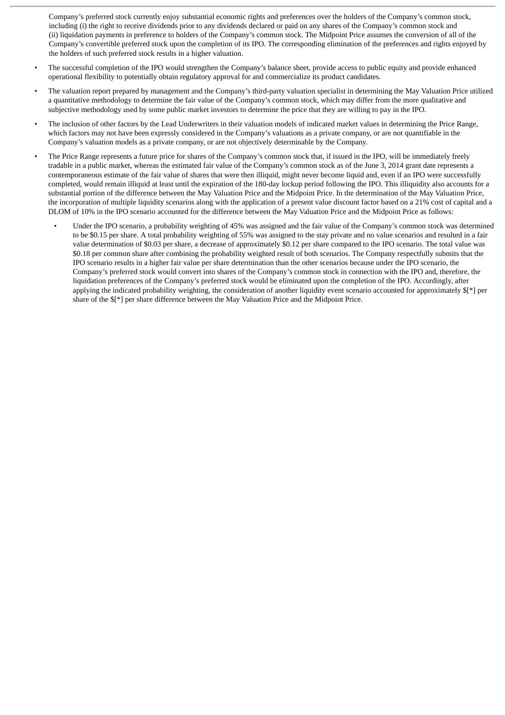Company's preferred stock currently enjoy substantial economic rights and preferences over the holders of the Company's common stock, including (i) the right to receive dividends prior to any dividends declared or paid on any shares of the Company's common stock and (ii) liquidation payments in preference to holders of the Company's common stock. The Midpoint Price assumes the conversion of all of the Company's convertible preferred stock upon the completion of its IPO. The corresponding elimination of the preferences and rights enjoyed by the holders of such preferred stock results in a higher valuation.

- The successful completion of the IPO would strengthen the Company's balance sheet, provide access to public equity and provide enhanced operational flexibility to potentially obtain regulatory approval for and commercialize its product candidates.
- The valuation report prepared by management and the Company's third-party valuation specialist in determining the May Valuation Price utilized a quantitative methodology to determine the fair value of the Company's common stock, which may differ from the more qualitative and subjective methodology used by some public market investors to determine the price that they are willing to pay in the IPO.
- The inclusion of other factors by the Lead Underwriters in their valuation models of indicated market values in determining the Price Range, which factors may not have been expressly considered in the Company's valuations as a private company, or are not quantifiable in the Company's valuation models as a private company, or are not objectively determinable by the Company.
- The Price Range represents a future price for shares of the Company's common stock that, if issued in the IPO, will be immediately freely tradable in a public market, whereas the estimated fair value of the Company's common stock as of the June 3, 2014 grant date represents a contemporaneous estimate of the fair value of shares that were then illiquid, might never become liquid and, even if an IPO were successfully completed, would remain illiquid at least until the expiration of the 180-day lockup period following the IPO. This illiquidity also accounts for a substantial portion of the difference between the May Valuation Price and the Midpoint Price. In the determination of the May Valuation Price, the incorporation of multiple liquidity scenarios along with the application of a present value discount factor based on a 21% cost of capital and a DLOM of 10% in the IPO scenario accounted for the difference between the May Valuation Price and the Midpoint Price as follows:
	- Under the IPO scenario, a probability weighting of 45% was assigned and the fair value of the Company's common stock was determined to be \$0.15 per share. A total probability weighting of 55% was assigned to the stay private and no value scenarios and resulted in a fair value determination of \$0.03 per share, a decrease of approximately \$0.12 per share compared to the IPO scenario. The total value was \$0.18 per common share after combining the probability weighted result of both scenarios. The Company respectfully submits that the IPO scenario results in a higher fair value per share determination than the other scenarios because under the IPO scenario, the Company's preferred stock would convert into shares of the Company's common stock in connection with the IPO and, therefore, the liquidation preferences of the Company's preferred stock would be eliminated upon the completion of the IPO. Accordingly, after applying the indicated probability weighting, the consideration of another liquidity event scenario accounted for approximately \$[\*] per share of the \$[\*] per share difference between the May Valuation Price and the Midpoint Price.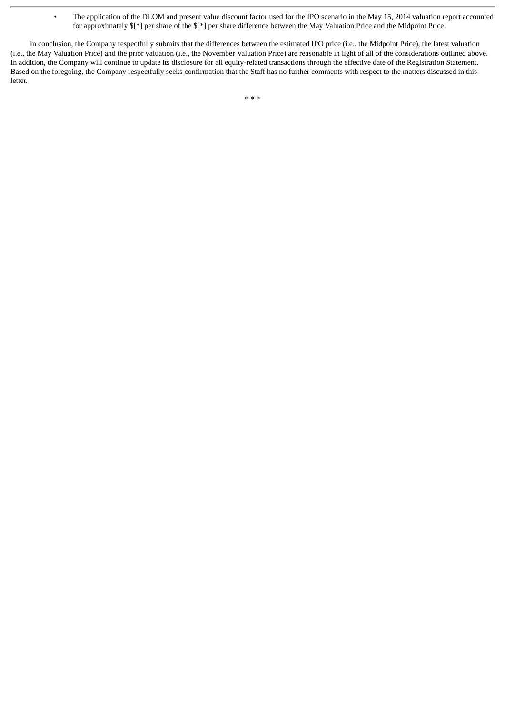• The application of the DLOM and present value discount factor used for the IPO scenario in the May 15, 2014 valuation report accounted for approximately \$[\*] per share of the \$[\*] per share difference between the May Valuation Price and the Midpoint Price.

In conclusion, the Company respectfully submits that the differences between the estimated IPO price (i.e., the Midpoint Price), the latest valuation (i.e., the May Valuation Price) and the prior valuation (i.e., the November Valuation Price) are reasonable in light of all of the considerations outlined above. In addition, the Company will continue to update its disclosure for all equity-related transactions through the effective date of the Registration Statement. Based on the foregoing, the Company respectfully seeks confirmation that the Staff has no further comments with respect to the matters discussed in this letter.